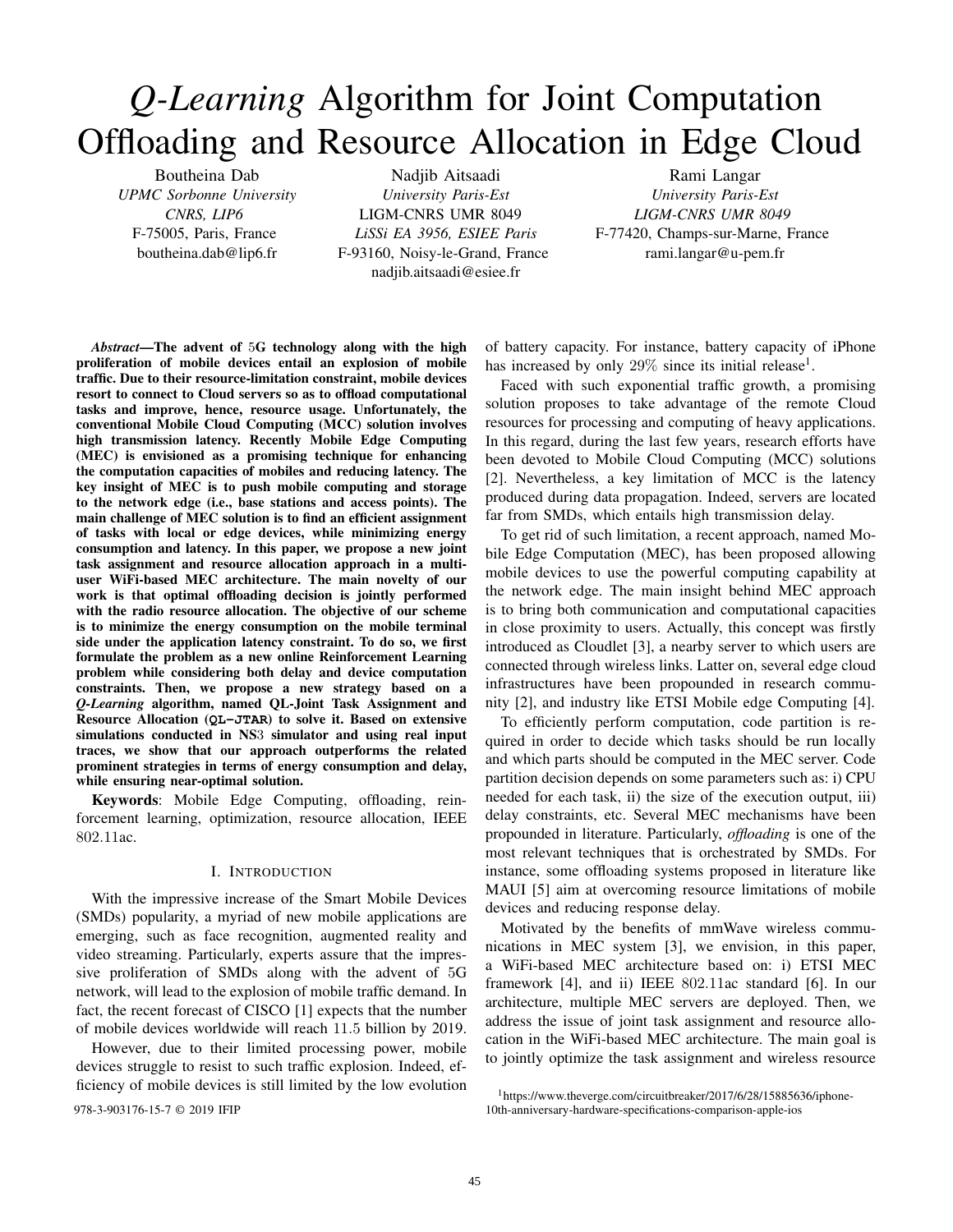# *Q-Learning* Algorithm for Joint Computation Offloading and Resource Allocation in Edge Cloud

Boutheina Dab *UPMC Sorbonne University CNRS, LIP6* F-75005, Paris, France boutheina.dab@lip6.fr

Nadjib Aitsaadi *University Paris-Est* LIGM-CNRS UMR 8049 *LiSSi EA 3956, ESIEE Paris* F-93160, Noisy-le-Grand, France nadjib.aitsaadi@esiee.fr

Rami Langar *University Paris-Est LIGM-CNRS UMR 8049* F-77420, Champs-sur-Marne, France rami.langar@u-pem.fr

*Abstract*—The advent of 5G technology along with the high proliferation of mobile devices entail an explosion of mobile traffic. Due to their resource-limitation constraint, mobile devices resort to connect to Cloud servers so as to offload computational tasks and improve, hence, resource usage. Unfortunately, the conventional Mobile Cloud Computing (MCC) solution involves high transmission latency. Recently Mobile Edge Computing (MEC) is envisioned as a promising technique for enhancing the computation capacities of mobiles and reducing latency. The key insight of MEC is to push mobile computing and storage to the network edge (i.e., base stations and access points). The main challenge of MEC solution is to find an efficient assignment of tasks with local or edge devices, while minimizing energy consumption and latency. In this paper, we propose a new joint task assignment and resource allocation approach in a multiuser WiFi-based MEC architecture. The main novelty of our work is that optimal offloading decision is jointly performed with the radio resource allocation. The objective of our scheme is to minimize the energy consumption on the mobile terminal side under the application latency constraint. To do so, we first formulate the problem as a new online Reinforcement Learning problem while considering both delay and device computation constraints. Then, we propose a new strategy based on a *Q-Learning* algorithm, named QL-Joint Task Assignment and Resource Allocation (**QL-JTAR**) to solve it. Based on extensive simulations conducted in NS3 simulator and using real input traces, we show that our approach outperforms the related prominent strategies in terms of energy consumption and delay, while ensuring near-optimal solution.

Keywords: Mobile Edge Computing, offloading, reinforcement learning, optimization, resource allocation, IEEE 802.11ac.

## I. INTRODUCTION

With the impressive increase of the Smart Mobile Devices (SMDs) popularity, a myriad of new mobile applications are emerging, such as face recognition, augmented reality and video streaming. Particularly, experts assure that the impressive proliferation of SMDs along with the advent of 5G network, will lead to the explosion of mobile traffic demand. In fact, the recent forecast of CISCO [1] expects that the number of mobile devices worldwide will reach 11.5 billion by 2019.

However, due to their limited processing power, mobile devices struggle to resist to such traffic explosion. Indeed, efficiency of mobile devices is still limited by the low evolution

of battery capacity. For instance, battery capacity of iPhone has increased by only  $29\%$  since its initial release<sup>1</sup>.

Faced with such exponential traffic growth, a promising solution proposes to take advantage of the remote Cloud resources for processing and computing of heavy applications. In this regard, during the last few years, research efforts have been devoted to Mobile Cloud Computing (MCC) solutions [2]. Nevertheless, a key limitation of MCC is the latency produced during data propagation. Indeed, servers are located far from SMDs, which entails high transmission delay.

To get rid of such limitation, a recent approach, named Mobile Edge Computation (MEC), has been proposed allowing mobile devices to use the powerful computing capability at the network edge. The main insight behind MEC approach is to bring both communication and computational capacities in close proximity to users. Actually, this concept was firstly introduced as Cloudlet [3], a nearby server to which users are connected through wireless links. Latter on, several edge cloud infrastructures have been propounded in research community [2], and industry like ETSI Mobile edge Computing [4].

To efficiently perform computation, code partition is required in order to decide which tasks should be run locally and which parts should be computed in the MEC server. Code partition decision depends on some parameters such as: i) CPU needed for each task, ii) the size of the execution output, iii) delay constraints, etc. Several MEC mechanisms have been propounded in literature. Particularly, *offloading* is one of the most relevant techniques that is orchestrated by SMDs. For instance, some offloading systems proposed in literature like MAUI [5] aim at overcoming resource limitations of mobile devices and reducing response delay.

Motivated by the benefits of mmWave wireless communications in MEC system [3], we envision, in this paper, a WiFi-based MEC architecture based on: i) ETSI MEC framework [4], and ii) IEEE 802.11ac standard [6]. In our architecture, multiple MEC servers are deployed. Then, we address the issue of joint task assignment and resource allocation in the WiFi-based MEC architecture. The main goal is to jointly optimize the task assignment and wireless resource

<sup>1</sup>https://www.theverge.com/circuitbreaker/2017/6/28/15885636/iphone-978-3-903176-15-7 © 2019 IFIP 10th-anniversary-hardware-specifications-comparison-apple-ios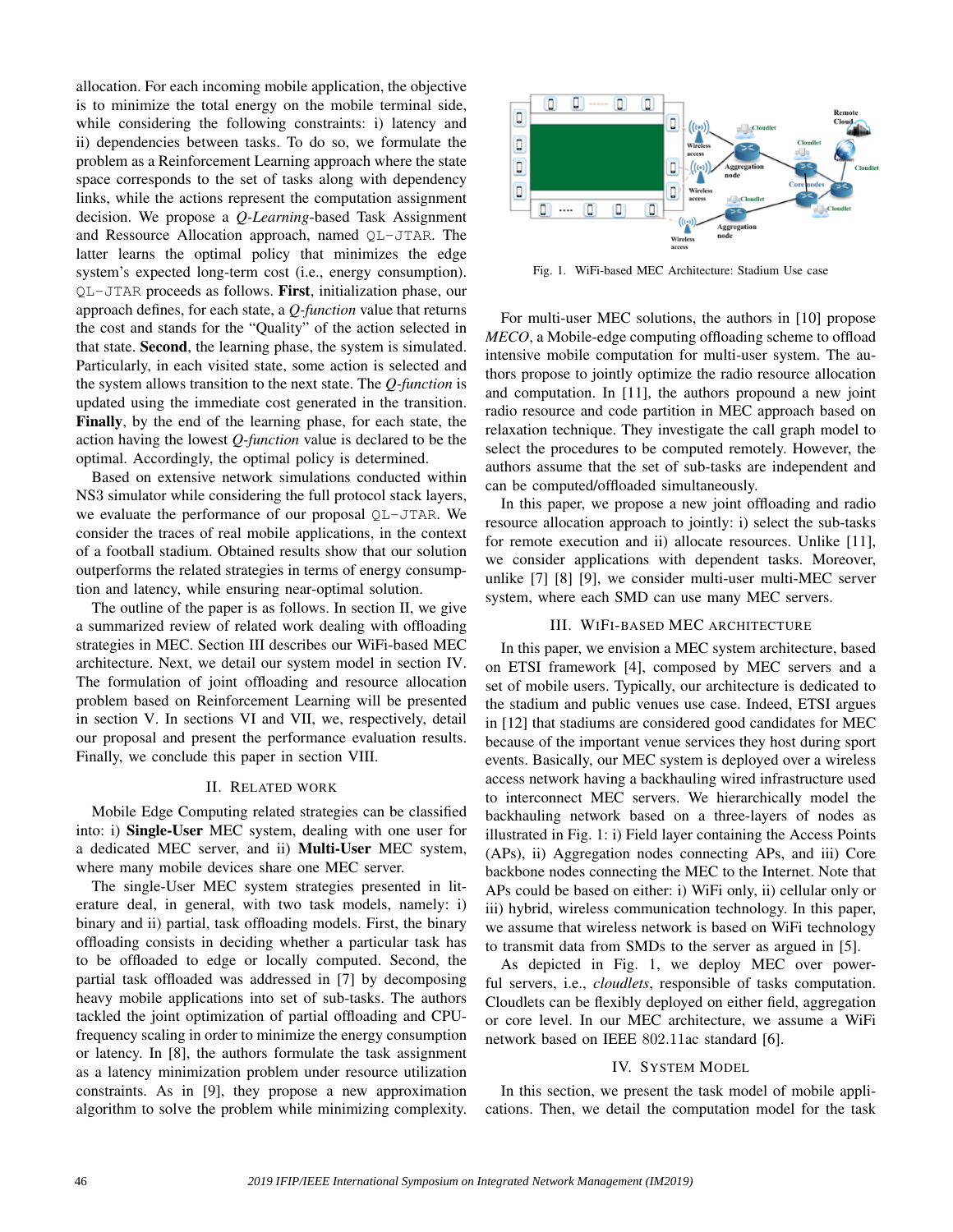allocation. For each incoming mobile application, the objective is to minimize the total energy on the mobile terminal side, while considering the following constraints: i) latency and ii) dependencies between tasks. To do so, we formulate the problem as a Reinforcement Learning approach where the state space corresponds to the set of tasks along with dependency links, while the actions represent the computation assignment decision. We propose a *Q-Learning*-based Task Assignment and Ressource Allocation approach, named QL-JTAR. The latter learns the optimal policy that minimizes the edge system's expected long-term cost (i.e., energy consumption). QL-JTAR proceeds as follows. First, initialization phase, our approach defines, for each state, a *Q-function* value that returns the cost and stands for the "Quality" of the action selected in that state. Second, the learning phase, the system is simulated. Particularly, in each visited state, some action is selected and the system allows transition to the next state. The *Q-function* is updated using the immediate cost generated in the transition. Finally, by the end of the learning phase, for each state, the action having the lowest *Q-function* value is declared to be the optimal. Accordingly, the optimal policy is determined.

Based on extensive network simulations conducted within NS3 simulator while considering the full protocol stack layers, we evaluate the performance of our proposal QL-JTAR. We consider the traces of real mobile applications, in the context of a football stadium. Obtained results show that our solution outperforms the related strategies in terms of energy consumption and latency, while ensuring near-optimal solution.

The outline of the paper is as follows. In section II, we give a summarized review of related work dealing with offloading strategies in MEC. Section III describes our WiFi-based MEC architecture. Next, we detail our system model in section IV. The formulation of joint offloading and resource allocation problem based on Reinforcement Learning will be presented in section V. In sections VI and VII, we, respectively, detail our proposal and present the performance evaluation results. Finally, we conclude this paper in section VIII.

#### II. RELATED WORK

Mobile Edge Computing related strategies can be classified into: i) Single-User MEC system, dealing with one user for a dedicated MEC server, and ii) Multi-User MEC system, where many mobile devices share one MEC server.

The single-User MEC system strategies presented in literature deal, in general, with two task models, namely: i) binary and ii) partial, task offloading models. First, the binary offloading consists in deciding whether a particular task has to be offloaded to edge or locally computed. Second, the partial task offloaded was addressed in [7] by decomposing heavy mobile applications into set of sub-tasks. The authors tackled the joint optimization of partial offloading and CPUfrequency scaling in order to minimize the energy consumption or latency. In [8], the authors formulate the task assignment as a latency minimization problem under resource utilization constraints. As in [9], they propose a new approximation algorithm to solve the problem while minimizing complexity.



Fig. 1. WiFi-based MEC Architecture: Stadium Use case

For multi-user MEC solutions, the authors in [10] propose *MECO*, a Mobile-edge computing offloading scheme to offload intensive mobile computation for multi-user system. The authors propose to jointly optimize the radio resource allocation and computation. In [11], the authors propound a new joint radio resource and code partition in MEC approach based on relaxation technique. They investigate the call graph model to select the procedures to be computed remotely. However, the authors assume that the set of sub-tasks are independent and can be computed/offloaded simultaneously.

In this paper, we propose a new joint offloading and radio resource allocation approach to jointly: i) select the sub-tasks for remote execution and ii) allocate resources. Unlike [11], we consider applications with dependent tasks. Moreover, unlike [7] [8] [9], we consider multi-user multi-MEC server system, where each SMD can use many MEC servers.

### III. WIFI-BASED MEC ARCHITECTURE

In this paper, we envision a MEC system architecture, based on ETSI framework [4], composed by MEC servers and a set of mobile users. Typically, our architecture is dedicated to the stadium and public venues use case. Indeed, ETSI argues in [12] that stadiums are considered good candidates for MEC because of the important venue services they host during sport events. Basically, our MEC system is deployed over a wireless access network having a backhauling wired infrastructure used to interconnect MEC servers. We hierarchically model the backhauling network based on a three-layers of nodes as illustrated in Fig. 1: i) Field layer containing the Access Points (APs), ii) Aggregation nodes connecting APs, and iii) Core backbone nodes connecting the MEC to the Internet. Note that APs could be based on either: i) WiFi only, ii) cellular only or iii) hybrid, wireless communication technology. In this paper, we assume that wireless network is based on WiFi technology to transmit data from SMDs to the server as argued in [5].

As depicted in Fig. 1, we deploy MEC over powerful servers, i.e., *cloudlets*, responsible of tasks computation. Cloudlets can be flexibly deployed on either field, aggregation or core level. In our MEC architecture, we assume a WiFi network based on IEEE 802.11ac standard [6].

## IV. SYSTEM MODEL

In this section, we present the task model of mobile applications. Then, we detail the computation model for the task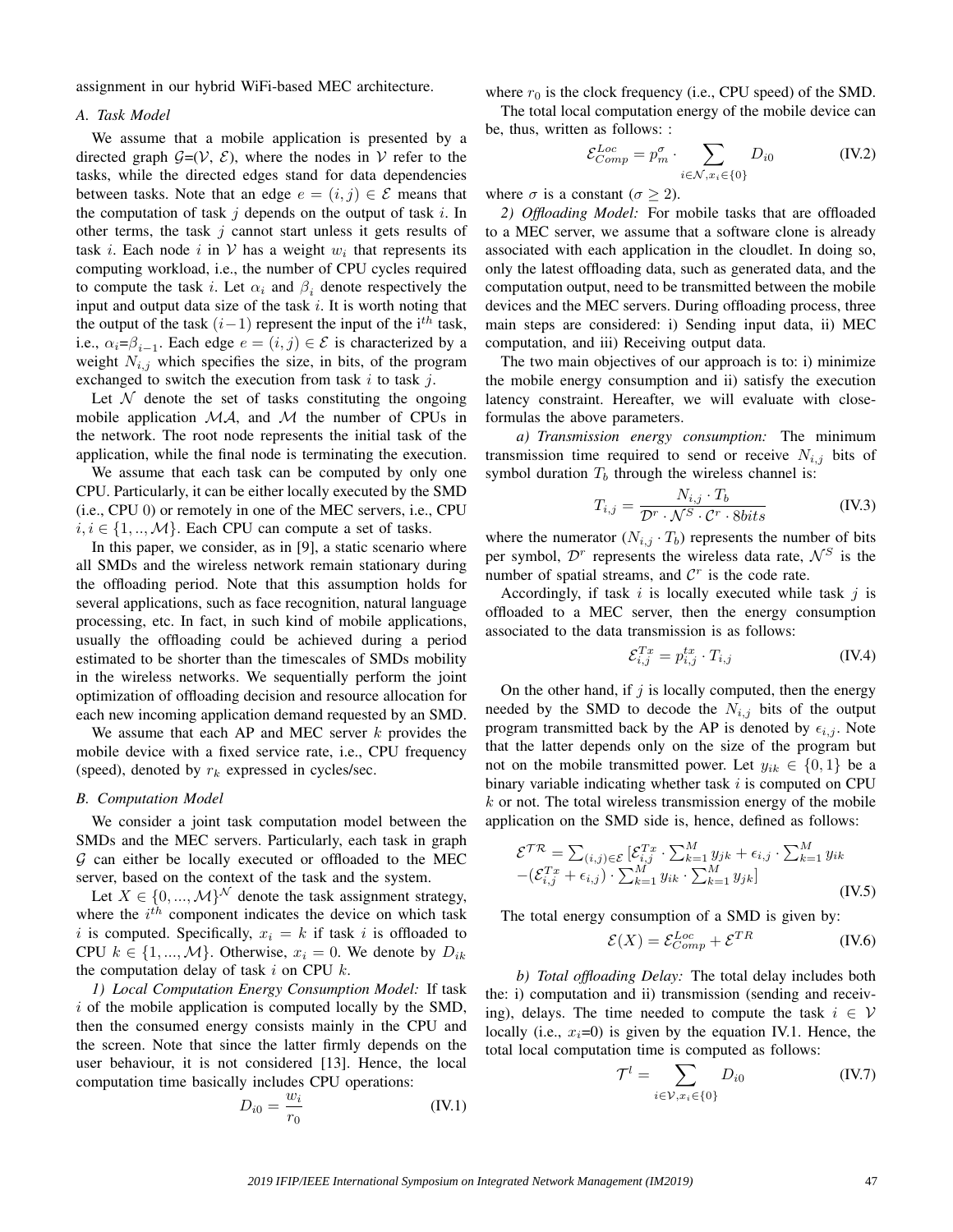assignment in our hybrid WiFi-based MEC architecture.

## *A. Task Model*

We assume that a mobile application is presented by a directed graph  $G=(V, \mathcal{E})$ , where the nodes in V refer to the tasks, while the directed edges stand for data dependencies between tasks. Note that an edge  $e = (i, j) \in \mathcal{E}$  means that the computation of task  $j$  depends on the output of task  $i$ . In other terms, the task  $j$  cannot start unless it gets results of task *i*. Each node *i* in  $V$  has a weight  $w_i$  that represents its computing workload, i.e., the number of CPU cycles required to compute the task i. Let  $\alpha_i$  and  $\beta_i$  denote respectively the input and output data size of the task  $i$ . It is worth noting that the output of the task  $(i-1)$  represent the input of the i<sup>th</sup> task, i.e.,  $\alpha_i = \beta_{i-1}$ . Each edge  $e = (i, j) \in \mathcal{E}$  is characterized by a weight  $N_{i,j}$  which specifies the size, in bits, of the program exchanged to switch the execution from task  $i$  to task  $j$ .

Let  $\mathcal N$  denote the set of tasks constituting the ongoing mobile application  $MA$ , and  $M$  the number of CPUs in the network. The root node represents the initial task of the application, while the final node is terminating the execution.

We assume that each task can be computed by only one CPU. Particularly, it can be either locally executed by the SMD (i.e., CPU 0) or remotely in one of the MEC servers, i.e., CPU  $i, i \in \{1, ..., M\}$ . Each CPU can compute a set of tasks.

In this paper, we consider, as in [9], a static scenario where all SMDs and the wireless network remain stationary during the offloading period. Note that this assumption holds for several applications, such as face recognition, natural language processing, etc. In fact, in such kind of mobile applications, usually the offloading could be achieved during a period estimated to be shorter than the timescales of SMDs mobility in the wireless networks. We sequentially perform the joint optimization of offloading decision and resource allocation for each new incoming application demand requested by an SMD.

We assume that each AP and MEC server  $k$  provides the mobile device with a fixed service rate, i.e., CPU frequency (speed), denoted by  $r_k$  expressed in cycles/sec.

### *B. Computation Model*

We consider a joint task computation model between the SMDs and the MEC servers. Particularly, each task in graph  $G$  can either be locally executed or offloaded to the MEC server, based on the context of the task and the system.

Let  $X \in \{0, ..., \mathcal{M}\}^{\mathcal{N}}$  denote the task assignment strategy, where the  $i^{th}$  component indicates the device on which task i is computed. Specifically,  $x_i = k$  if task i is offloaded to CPU  $k \in \{1, ..., M\}$ . Otherwise,  $x_i = 0$ . We denote by  $D_{ik}$ the computation delay of task  $i$  on CPU  $k$ .

*1) Local Computation Energy Consumption Model:* If task  $i$  of the mobile application is computed locally by the SMD, then the consumed energy consists mainly in the CPU and the screen. Note that since the latter firmly depends on the user behaviour, it is not considered [13]. Hence, the local computation time basically includes CPU operations:

$$
D_{i0} = \frac{w_i}{r_0} \tag{IV.1}
$$

where  $r_0$  is the clock frequency (i.e., CPU speed) of the SMD.

The total local computation energy of the mobile device can be, thus, written as follows: :

$$
\mathcal{E}^{Loc}_{Comp} = p_m^{\sigma} \cdot \sum_{i \in \mathcal{N}, x_i \in \{0\}} D_{i0}
$$
 (IV.2)

where  $\sigma$  is a constant ( $\sigma \geq 2$ ).

*2) Offloading Model:* For mobile tasks that are offloaded to a MEC server, we assume that a software clone is already associated with each application in the cloudlet. In doing so, only the latest offloading data, such as generated data, and the computation output, need to be transmitted between the mobile devices and the MEC servers. During offloading process, three main steps are considered: i) Sending input data, ii) MEC computation, and iii) Receiving output data.

The two main objectives of our approach is to: i) minimize the mobile energy consumption and ii) satisfy the execution latency constraint. Hereafter, we will evaluate with closeformulas the above parameters.

*a) Transmission energy consumption:* The minimum transmission time required to send or receive  $N_{i,j}$  bits of symbol duration  $T<sub>b</sub>$  through the wireless channel is:

$$
T_{i,j} = \frac{N_{i,j} \cdot T_b}{\mathcal{D}^r \cdot \mathcal{N}^S \cdot \mathcal{C}^r \cdot 8bits} \tag{IV.3}
$$

where the numerator  $(N_{i,j} \cdot T_b)$  represents the number of bits per symbol,  $\mathcal{D}^r$  represents the wireless data rate,  $\mathcal{N}^S$  is the number of spatial streams, and  $\mathcal{C}^r$  is the code rate.

Accordingly, if task  $i$  is locally executed while task  $j$  is offloaded to a MEC server, then the energy consumption associated to the data transmission is as follows:

$$
\mathcal{E}_{i,j}^{Tx} = p_{i,j}^{tx} \cdot T_{i,j} \tag{IV.4}
$$

On the other hand, if  $j$  is locally computed, then the energy needed by the SMD to decode the  $N_{i,j}$  bits of the output program transmitted back by the AP is denoted by  $\epsilon_{i,j}$ . Note that the latter depends only on the size of the program but not on the mobile transmitted power. Let  $y_{ik} \in \{0, 1\}$  be a binary variable indicating whether task  $i$  is computed on CPU  $k$  or not. The total wireless transmission energy of the mobile application on the SMD side is, hence, defined as follows:

$$
\mathcal{E}^{TR} = \sum_{(i,j) \in \mathcal{E}} \left[ \mathcal{E}_{i,j}^{Tx} \cdot \sum_{k=1}^{M} y_{jk} + \epsilon_{i,j} \cdot \sum_{k=1}^{M} y_{ik} \right] - (\mathcal{E}_{i,j}^{Tx} + \epsilon_{i,j}) \cdot \sum_{k=1}^{M} y_{ik} \cdot \sum_{k=1}^{M} y_{jk} \right]
$$
(IV.5)

The total energy consumption of a SMD is given by:

$$
\mathcal{E}(X) = \mathcal{E}_{Comp}^{Loc} + \mathcal{E}^{TR}
$$
 (IV.6)

*b) Total offloading Delay:* The total delay includes both the: i) computation and ii) transmission (sending and receiving), delays. The time needed to compute the task  $i \in V$ locally (i.e.,  $x_i=0$ ) is given by the equation IV.1. Hence, the total local computation time is computed as follows:

$$
\mathcal{T}^l = \sum_{i \in \mathcal{V}, x_i \in \{0\}} D_{i0}
$$
 (IV.7)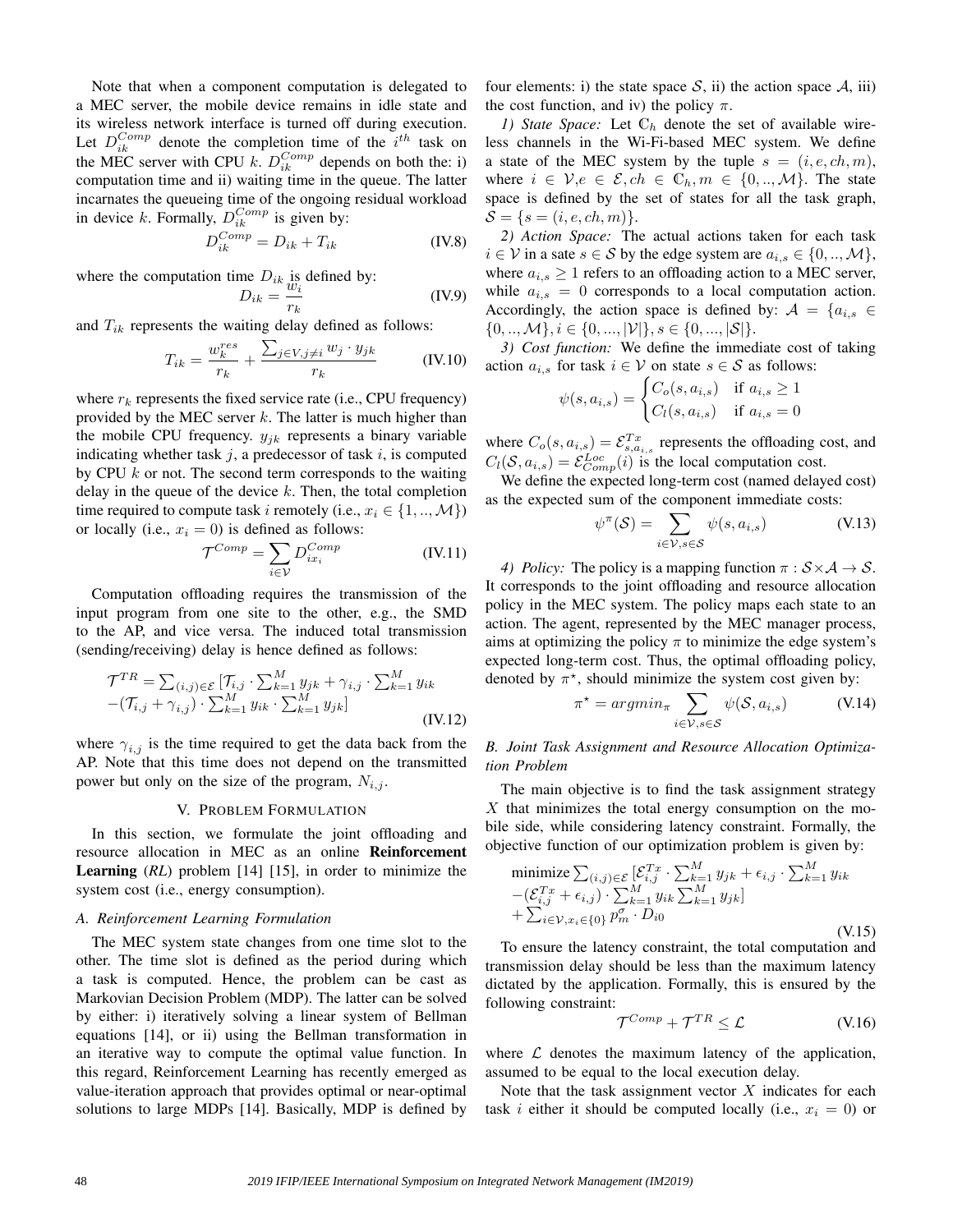Note that when a component computation is delegated to a MEC server, the mobile device remains in idle state and its wireless network interface is turned off during execution. Let  $D_{ik}^{Comp}$  denote the completion time of the  $i^{th}$  task on the MEC server with CPU k.  $D_{ik}^{Comp}$  depends on both the: i) computation time and ii) waiting time in the queue. The latter incarnates the queueing time of the ongoing residual workload in device k. Formally,  $D_{ik}^{Comp}$  is given by:

$$
D_{ik}^{Comp} = D_{ik} + T_{ik}
$$
 (IV.8)

where the computation time  $D_{ik}$  is defined by:

$$
D_{ik} = \frac{w_i}{r_k} \tag{IV.9}
$$

and  $T_{ik}$  represents the waiting delay defined as follows:

$$
T_{ik} = \frac{w_k^{res}}{r_k} + \frac{\sum_{j \in V, j \neq i} w_j \cdot y_{jk}}{r_k}
$$
 (IV.10)

where  $r_k$  represents the fixed service rate (i.e., CPU frequency) provided by the MEC server  $k$ . The latter is much higher than the mobile CPU frequency.  $y_{jk}$  represents a binary variable indicating whether task  $j$ , a predecessor of task  $i$ , is computed by CPU  $k$  or not. The second term corresponds to the waiting delay in the queue of the device  $k$ . Then, the total completion time required to compute task i remotely (i.e.,  $x_i \in \{1, ..., M\}$ ) or locally (i.e.,  $x_i = 0$ ) is defined as follows:

$$
\mathcal{T}^{Comp} = \sum_{i \in \mathcal{V}} D_{ix_i}^{Comp} \tag{IV.11}
$$

Computation offloading requires the transmission of the input program from one site to the other, e.g., the SMD to the AP, and vice versa. The induced total transmission (sending/receiving) delay is hence defined as follows:

$$
\mathcal{T}^{TR} = \sum_{(i,j)\in\mathcal{E}} \left[ \mathcal{T}_{i,j} \cdot \sum_{k=1}^{M} y_{jk} + \gamma_{i,j} \cdot \sum_{k=1}^{M} y_{ik} \right. \n- (\mathcal{T}_{i,j} + \gamma_{i,j}) \cdot \sum_{k=1}^{M} y_{ik} \cdot \sum_{k=1}^{M} y_{jk} \right]
$$
\n(IV.12)

where  $\gamma_{i,j}$  is the time required to get the data back from the AP. Note that this time does not depend on the transmitted power but only on the size of the program,  $N_{i,j}$ .

#### V. PROBLEM FORMULATION

In this section, we formulate the joint offloading and resource allocation in MEC as an online Reinforcement Learning (*RL*) problem [14] [15], in order to minimize the system cost (i.e., energy consumption).

#### *A. Reinforcement Learning Formulation*

The MEC system state changes from one time slot to the other. The time slot is defined as the period during which a task is computed. Hence, the problem can be cast as Markovian Decision Problem (MDP). The latter can be solved by either: i) iteratively solving a linear system of Bellman equations [14], or ii) using the Bellman transformation in an iterative way to compute the optimal value function. In this regard, Reinforcement Learning has recently emerged as value-iteration approach that provides optimal or near-optimal solutions to large MDPs [14]. Basically, MDP is defined by

four elements: i) the state space  $S$ , ii) the action space  $A$ , iii) the cost function, and iv) the policy  $\pi$ .

*1) State Space:* Let  $\mathbb{C}_h$  denote the set of available wireless channels in the Wi-Fi-based MEC system. We define a state of the MEC system by the tuple  $s = (i, e, ch, m)$ , where  $i \in \mathcal{V}, e \in \mathcal{E}, ch \in \mathbb{C}_h, m \in \{0, ..., \mathcal{M}\}.$  The state space is defined by the set of states for all the task graph,  $S = \{s = (i, e, ch, m)\}.$ 

*2) Action Space:* The actual actions taken for each task  $i \in V$  in a sate  $s \in S$  by the edge system are  $a_{i,s} \in \{0, ..., M\},$ where  $a_{i,s} \geq 1$  refers to an offloading action to a MEC server, while  $a_{i,s} = 0$  corresponds to a local computation action. Accordingly, the action space is defined by:  $A = \{a_{i,s} \in$  $\{0, ..., M\}, i \in \{0, ..., |\mathcal{V}|\}, s \in \{0, ..., |\mathcal{S}|\}.$ 

*3) Cost function:* We define the immediate cost of taking action  $a_{i,s}$  for task  $i \in V$  on state  $s \in S$  as follows:

$$
\psi(s, a_{i,s}) = \begin{cases} C_o(s, a_{i,s}) & \text{if } a_{i,s} \ge 1 \\ C_l(s, a_{i,s}) & \text{if } a_{i,s} = 0 \end{cases}
$$

where  $C_o(s, a_{i,s}) = \mathcal{E}_{s, a_{i,s}}^{Tx}$  represents the offloading cost, and  $C_l(S, a_{i,s}) = \mathcal{E}^{Loc}_{Comp}(i)$  is the local computation cost.

We define the expected long-term cost (named delayed cost) as the expected sum of the component immediate costs:

$$
\psi^{\pi}(\mathcal{S}) = \sum_{i \in \mathcal{V}, s \in \mathcal{S}} \psi(s, a_{i,s})
$$
 (V.13)

*4) Policy:* The policy is a mapping function  $\pi : S \times A \rightarrow S$ . It corresponds to the joint offloading and resource allocation policy in the MEC system. The policy maps each state to an action. The agent, represented by the MEC manager process, aims at optimizing the policy  $\pi$  to minimize the edge system's expected long-term cost. Thus, the optimal offloading policy, denoted by  $\pi^*$ , should minimize the system cost given by:

$$
\pi^* = \operatorname{argmin}_{\pi} \sum_{i \in \mathcal{V}, s \in \mathcal{S}} \psi(\mathcal{S}, a_{i,s}) \tag{V.14}
$$

*B. Joint Task Assignment and Resource Allocation Optimization Problem*

The main objective is to find the task assignment strategy X that minimizes the total energy consumption on the mobile side, while considering latency constraint. Formally, the objective function of our optimization problem is given by:

$$
\begin{aligned}\n\text{minimize} & \sum_{(i,j)\in\mathcal{E}} \left[ \mathcal{E}_{i,j}^{T x} \cdot \sum_{k=1}^{M} y_{jk} + \epsilon_{i,j} \cdot \sum_{k=1}^{M} y_{ik} \right. \\
&\quad - (\mathcal{E}_{i,j}^{T x} + \epsilon_{i,j}) \cdot \sum_{k=1}^{M} y_{ik} \sum_{k=1}^{M} y_{jk} \right] \\
& + \sum_{i \in \mathcal{V}, x_i \in \{0\}} p_m^{\sigma} \cdot D_{i0} \quad \text{(V.15)}\n\end{aligned}
$$

To ensure the latency constraint, the total computation and transmission delay should be less than the maximum latency dictated by the application. Formally, this is ensured by the following constraint:

$$
\mathcal{T}^{Comp} + \mathcal{T}^{TR} \le \mathcal{L} \tag{V.16}
$$

where  $\mathcal L$  denotes the maximum latency of the application, assumed to be equal to the local execution delay.

Note that the task assignment vector  $X$  indicates for each task *i* either it should be computed locally (i.e.,  $x_i = 0$ ) or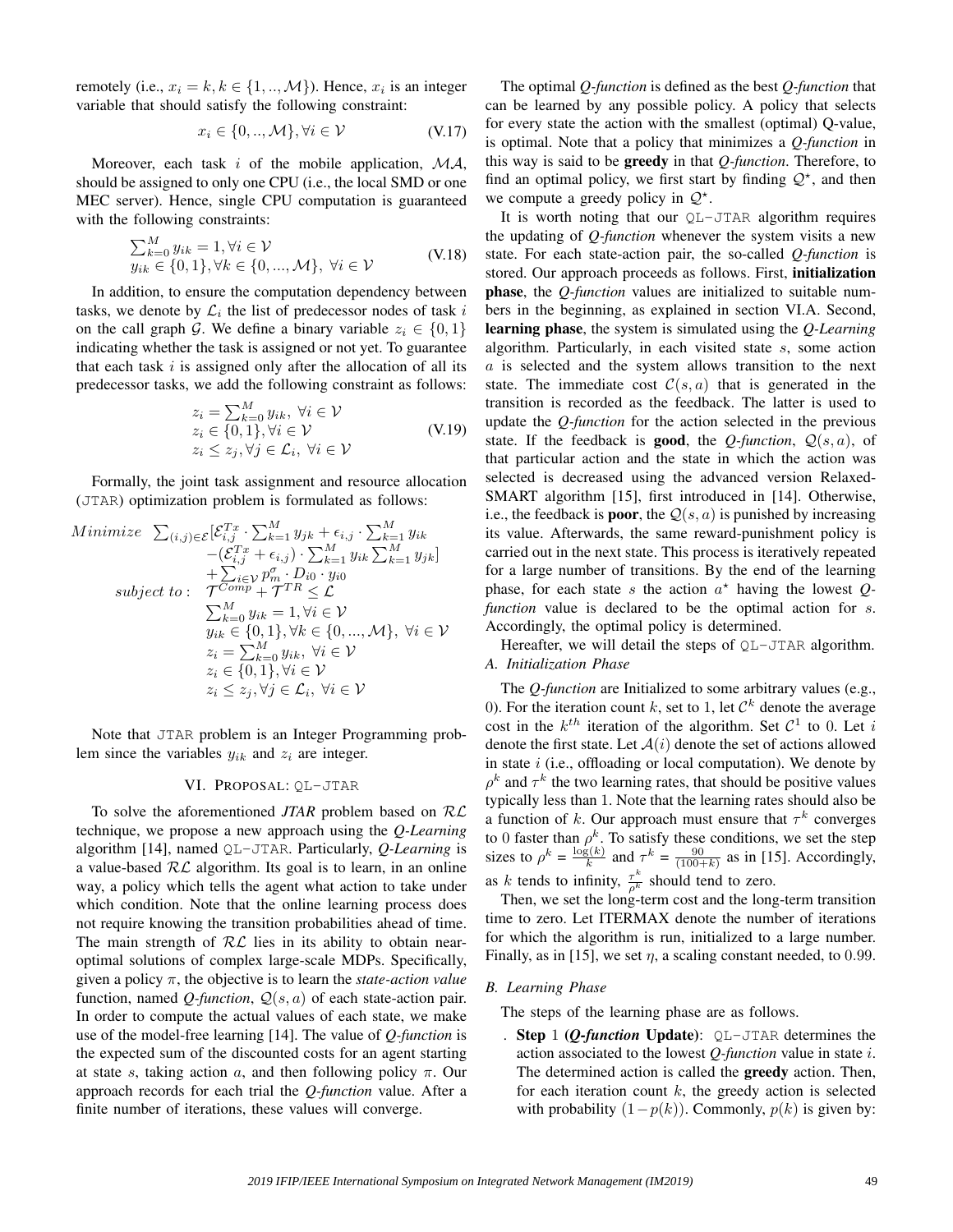remotely (i.e.,  $x_i = k, k \in \{1, ..., M\}$ ). Hence,  $x_i$  is an integer variable that should satisfy the following constraint:

$$
x_i \in \{0, ..., \mathcal{M}\}, \forall i \in \mathcal{V} \tag{V.17}
$$

Moreover, each task i of the mobile application,  $MA$ , should be assigned to only one CPU (i.e., the local SMD or one MEC server). Hence, single CPU computation is guaranteed with the following constraints:

$$
\sum_{k=0}^{M} y_{ik} = 1, \forall i \in \mathcal{V}
$$
  
\n
$$
y_{ik} \in \{0, 1\}, \forall k \in \{0, ..., \mathcal{M}\}, \forall i \in \mathcal{V}
$$
 (V.18)

In addition, to ensure the computation dependency between tasks, we denote by  $\mathcal{L}_i$  the list of predecessor nodes of task i on the call graph G. We define a binary variable  $z_i \in \{0, 1\}$ indicating whether the task is assigned or not yet. To guarantee that each task  $i$  is assigned only after the allocation of all its predecessor tasks, we add the following constraint as follows:

$$
z_i = \sum_{k=0}^{M} y_{ik}, \forall i \in \mathcal{V}
$$
  
 
$$
z_i \in \{0, 1\}, \forall i \in \mathcal{V}
$$
  
 
$$
z_i \leq z_j, \forall j \in \mathcal{L}_i, \forall i \in \mathcal{V}
$$
 (V.19)

Formally, the joint task assignment and resource allocation (JTAR) optimization problem is formulated as follows:

Minimize 
$$
\sum_{(i,j)\in\mathcal{E}} \left[\mathcal{E}_{i,j}^{Tx} \cdot \sum_{k=1}^{M} y_{jk} + \epsilon_{i,j} \cdot \sum_{k=1}^{M} y_{ik}\right] \newline - \left(\mathcal{E}_{i,j}^{Tx} + \epsilon_{i,j}\right) \cdot \sum_{k=1}^{M} y_{ik} \sum_{k=1}^{M} y_{jk}\right] \newline + \sum_{i\in\mathcal{V}} p_m^{\sigma} \cdot D_{i0} \cdot y_{i0} \newline \text{subject to:} \quad \mathcal{T}^{Comp} + \mathcal{T}^{TR} \leq \mathcal{L} \newline \sum_{k=0}^{M} y_{ik} = 1, \forall i \in \mathcal{V} \newline y_{ik} \in \{0,1\}, \forall k \in \{0, ..., M\}, \forall i \in \mathcal{V} \newline z_i = \sum_{k=0}^{M} y_{ik}, \forall i \in \mathcal{V} \newline z_i \leq z_j, \forall j \in \mathcal{L}_i, \forall i \in \mathcal{V} \newline
$$

Note that JTAR problem is an Integer Programming problem since the variables  $y_{ik}$  and  $z_i$  are integer.

## VI. PROPOSAL: QL-JTAR

To solve the aforementioned *JTAR* problem based on RL technique, we propose a new approach using the *Q-Learning* algorithm [14], named QL-JTAR. Particularly, *Q-Learning* is a value-based  $RL$  algorithm. Its goal is to learn, in an online way, a policy which tells the agent what action to take under which condition. Note that the online learning process does not require knowing the transition probabilities ahead of time. The main strength of  $RL$  lies in its ability to obtain nearoptimal solutions of complex large-scale MDPs. Specifically, given a policy π, the objective is to learn the *state-action value* function, named *Q-function*,  $Q(s, a)$  of each state-action pair. In order to compute the actual values of each state, we make use of the model-free learning [14]. The value of *Q-function* is the expected sum of the discounted costs for an agent starting at state s, taking action a, and then following policy  $\pi$ . Our approach records for each trial the *Q-function* value. After a finite number of iterations, these values will converge.

The optimal *Q-function* is defined as the best *Q-function* that can be learned by any possible policy. A policy that selects for every state the action with the smallest (optimal) Q-value, is optimal. Note that a policy that minimizes a *Q-function* in this way is said to be greedy in that *Q-function*. Therefore, to find an optimal policy, we first start by finding  $\mathcal{Q}^*$ , and then we compute a greedy policy in  $Q^*$ .

It is worth noting that our QL-JTAR algorithm requires the updating of *Q-function* whenever the system visits a new state. For each state-action pair, the so-called *Q-function* is stored. Our approach proceeds as follows. First, initialization phase, the *Q-function* values are initialized to suitable numbers in the beginning, as explained in section VI.A. Second, learning phase, the system is simulated using the *Q-Learning* algorithm. Particularly, in each visited state s, some action a is selected and the system allows transition to the next state. The immediate cost  $C(s, a)$  that is generated in the transition is recorded as the feedback. The latter is used to update the *Q-function* for the action selected in the previous state. If the feedback is **good**, the *Q-function*,  $Q(s, a)$ , of that particular action and the state in which the action was selected is decreased using the advanced version Relaxed-SMART algorithm [15], first introduced in [14]. Otherwise, i.e., the feedback is **poor**, the  $Q(s, a)$  is punished by increasing its value. Afterwards, the same reward-punishment policy is carried out in the next state. This process is iteratively repeated for a large number of transitions. By the end of the learning phase, for each state s the action  $a^*$  having the lowest  $Q$ *function* value is declared to be the optimal action for s. Accordingly, the optimal policy is determined.

Hereafter, we will detail the steps of  $OL-JTAR$  algorithm. *A. Initialization Phase*

The *Q-function* are Initialized to some arbitrary values (e.g., 0). For the iteration count k, set to 1, let  $\mathcal{C}^k$  denote the average cost in the  $k^{th}$  iteration of the algorithm. Set  $C^1$  to 0. Let i denote the first state. Let  $A(i)$  denote the set of actions allowed in state  $i$  (i.e., offloading or local computation). We denote by  $\rho^k$  and  $\tau^k$  the two learning rates, that should be positive values typically less than 1. Note that the learning rates should also be a function of k. Our approach must ensure that  $\tau^k$  converges to 0 faster than  $\rho^k$ . To satisfy these conditions, we set the step sizes to  $\rho^k = \frac{\log(k)}{k}$  $\frac{g(k)}{k}$  and  $\tau^k = \frac{90}{(100+k)}$  as in [15]. Accordingly, as k tends to infinity,  $\frac{\tau^k}{\rho^k}$  should tend to zero.

Then, we set the long-term cost and the long-term transition time to zero. Let ITERMAX denote the number of iterations for which the algorithm is run, initialized to a large number. Finally, as in [15], we set  $\eta$ , a scaling constant needed, to 0.99.

#### *B. Learning Phase*

The steps of the learning phase are as follows.

**Step 1 (***O-function* Update):  $OL-JTAR$  determines the action associated to the lowest *Q-function* value in state i. The determined action is called the greedy action. Then, for each iteration count  $k$ , the greedy action is selected with probability  $(1-p(k))$ . Commonly,  $p(k)$  is given by: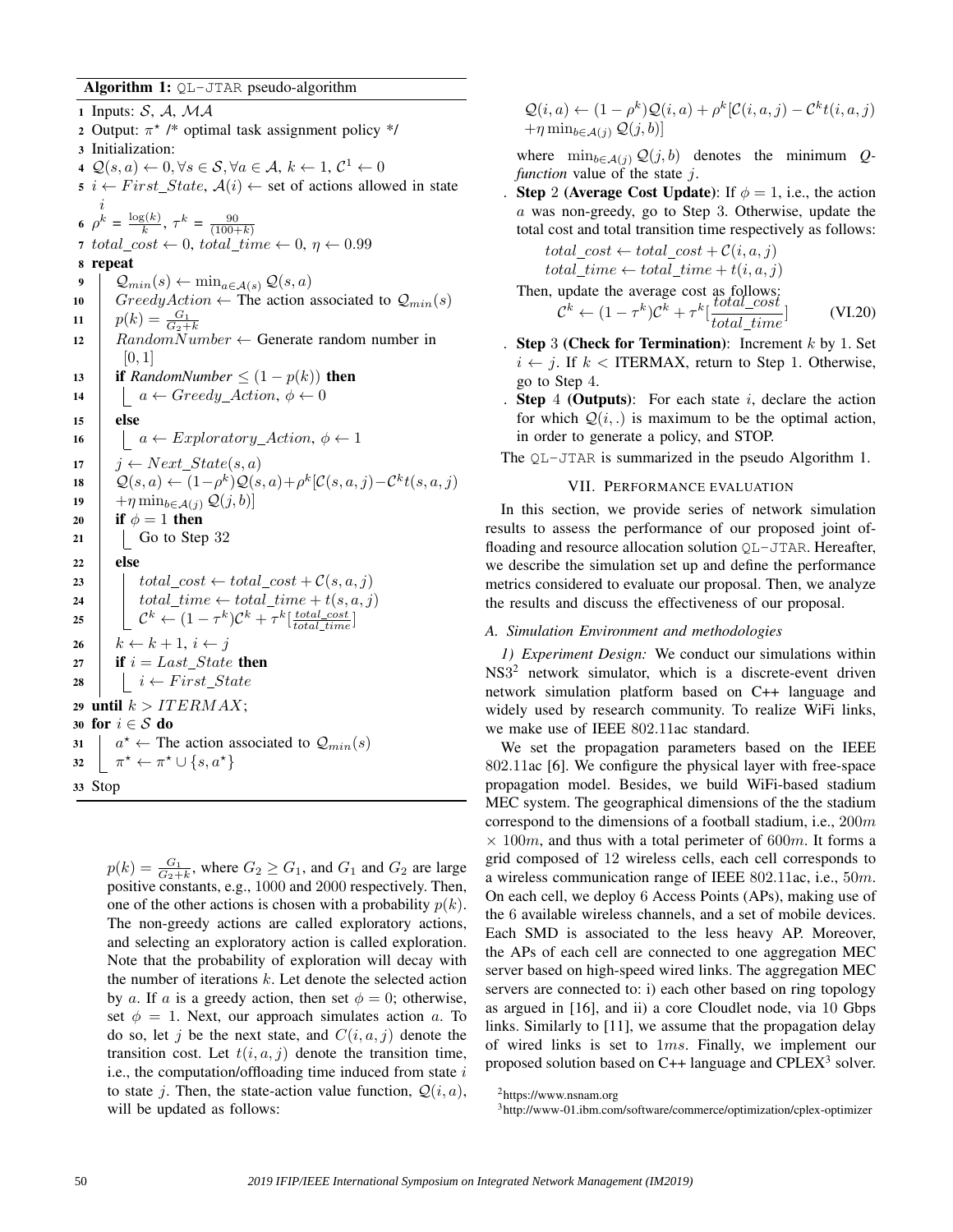Algorithm 1: QL-JTAR pseudo-algorithm

1 Inputs:  $S, A, MA$ 2 Output:  $\pi^*$  /\* optimal task assignment policy \*/ 3 Initialization: 4  $\mathcal{Q}(s, a) \leftarrow 0, \forall s \in \mathcal{S}, \forall a \in \mathcal{A}, k \leftarrow 1, \mathcal{C}^1 \leftarrow 0$ 5 i  $\leftarrow First\_State$ ,  $A(i) \leftarrow$  set of actions allowed in state i 6  $\rho^k = \frac{\log(k)}{k}$  $\frac{g(k)}{k}, \tau^k = \frac{90}{(100+k)}$ 7 total\_cost  $\leftarrow 0$ , total\_time  $\leftarrow 0$ ,  $\eta \leftarrow 0.99$ 8 repeat 9  $\downarrow$   $\mathcal{Q}_{min}(s) \leftarrow \min_{a \in \mathcal{A}(s)} \mathcal{Q}(s, a)$ 10 GreedyAction  $\leftarrow$  The action associated to  $\mathcal{Q}_{min}(s)$ 11  $p(k) = \frac{G_1}{G_2 + k}$ 12 RandomNumber  $\leftarrow$  Generate random number in  $[0, 1]$ 13 **if** *RandomNumber*  $\leq (1 - p(k))$  **then** 14  $\vert \cdot \vert \cdot a \leftarrow Greedy\_Action, \phi \leftarrow 0$  $15$  else 16  $\vert$  a ← Exploratory\_Action,  $\phi \leftarrow 1$ 17  $\vert j \leftarrow Next\_State(s, a)$ 18  $\left[ Q(s,a) \leftarrow (1-\rho^k)Q(s,a)+\rho^k[\mathcal{C}(s,a,j)-\mathcal{C}^k t(s,a,j)]$ 19  $+ \eta \min_{b \in \mathcal{A}(j)} \mathcal{Q}(j,b)$ 20 if  $\phi = 1$  then  $21$  | Go to Step 32  $22$  else 23  $\vert$  total\_cost  $\leftarrow$  total\_cost +  $\mathcal{C}(s, a, j)$ 24 total\_time  $\leftarrow$  total\_time + t(s, a, j) 25  $\left[\begin{array}{c} \ \ \ \end{array}\right]\in \mathcal{C}^k \leftarrow (1-\tau^k)\mathcal{C}^k + \tau^k[\frac{total\_cost}{total\_time}]$ 26  $k \leftarrow k + 1, i \leftarrow j$ 27 **if**  $i = Last\_State$  then 28 |  $i \leftarrow First\_State$ 29 until  $k > ITERMAX;$ 30 for  $i \in S$  do 31  $a^* \leftarrow$  The action associated to  $\mathcal{Q}_{min}(s)$ 32  $\pi^* \leftarrow \pi^* \cup \{s, a^{\star}\}\$ <sup>33</sup> Stop

 $p(k) = \frac{G_1}{G_2 + k}$ , where  $G_2 \ge G_1$ , and  $G_1$  and  $G_2$  are large positive constants, e.g., 1000 and 2000 respectively. Then, one of the other actions is chosen with a probability  $p(k)$ . The non-greedy actions are called exploratory actions, and selecting an exploratory action is called exploration. Note that the probability of exploration will decay with the number of iterations  $k$ . Let denote the selected action by a. If a is a greedy action, then set  $\phi = 0$ ; otherwise, set  $\phi = 1$ . Next, our approach simulates action a. To do so, let j be the next state, and  $C(i, a, j)$  denote the transition cost. Let  $t(i, a, j)$  denote the transition time, i.e., the computation/offloading time induced from state  $i$ to state *i*. Then, the state-action value function,  $Q(i, a)$ , will be updated as follows:

 $\mathcal{Q}(i, a) \leftarrow (1 - \rho^k) \mathcal{Q}(i, a) + \rho^k [\mathcal{C}(i, a, j) - \mathcal{C}^k t(i, a, j)]$  $+\eta \min_{b \in \mathcal{A}(j)} \mathcal{Q}(j,b)$ 

where  $\min_{b \in \mathcal{A}(j)} \mathcal{Q}(j, b)$  denotes the minimum *Qfunction* value of the state *j*.

**Step 2 (Average Cost Update):** If  $\phi = 1$ , i.e., the action a was non-greedy, go to Step 3. Otherwise, update the total cost and total transition time respectively as follows:

$$
total\_cost \leftarrow total\_cost + C(i, a, j)
$$
  

$$
total\_time \leftarrow total\_time + t(i, a, j)
$$

Then, update the average cost as follows:<br>  $dk = (1 - k)dk + kI \cdot total \cdot cost$ 

$$
\mathcal{C}^k \leftarrow (1 - \tau^k)\mathcal{C}^k + \tau^k \left[\frac{total\_cost}{total\_time}\right] \qquad (VI.20)
$$

- . Step 3 (Check for Termination): Increment  $k$  by 1. Set  $i \leftarrow j$ . If  $k <$  ITERMAX, return to Step 1. Otherwise, go to Step 4.
- **Step 4 (Outputs):** For each state  $i$ , declare the action for which  $Q(i,.)$  is maximum to be the optimal action, in order to generate a policy, and STOP.
- The QL-JTAR is summarized in the pseudo Algorithm 1.

# VII. PERFORMANCE EVALUATION

In this section, we provide series of network simulation results to assess the performance of our proposed joint offloading and resource allocation solution QL-JTAR. Hereafter, we describe the simulation set up and define the performance metrics considered to evaluate our proposal. Then, we analyze the results and discuss the effectiveness of our proposal.

#### *A. Simulation Environment and methodologies*

*1) Experiment Design:* We conduct our simulations within NS3<sup>2</sup> network simulator, which is a discrete-event driven network simulation platform based on C++ language and widely used by research community. To realize WiFi links, we make use of IEEE 802.11ac standard.

We set the propagation parameters based on the IEEE 802.11ac [6]. We configure the physical layer with free-space propagation model. Besides, we build WiFi-based stadium MEC system. The geographical dimensions of the the stadium correspond to the dimensions of a football stadium, i.e.,  $200m$  $\times$  100m, and thus with a total perimeter of 600m. It forms a grid composed of 12 wireless cells, each cell corresponds to a wireless communication range of IEEE 802.11ac, i.e., 50m. On each cell, we deploy 6 Access Points (APs), making use of the 6 available wireless channels, and a set of mobile devices. Each SMD is associated to the less heavy AP. Moreover, the APs of each cell are connected to one aggregation MEC server based on high-speed wired links. The aggregation MEC servers are connected to: i) each other based on ring topology as argued in [16], and ii) a core Cloudlet node, via 10 Gbps links. Similarly to [11], we assume that the propagation delay of wired links is set to  $1ms$ . Finally, we implement our proposed solution based on  $C++$  language and  $CPLEX<sup>3</sup>$  solver.

<sup>2</sup>https://www.nsnam.org

<sup>3</sup>http://www-01.ibm.com/software/commerce/optimization/cplex-optimizer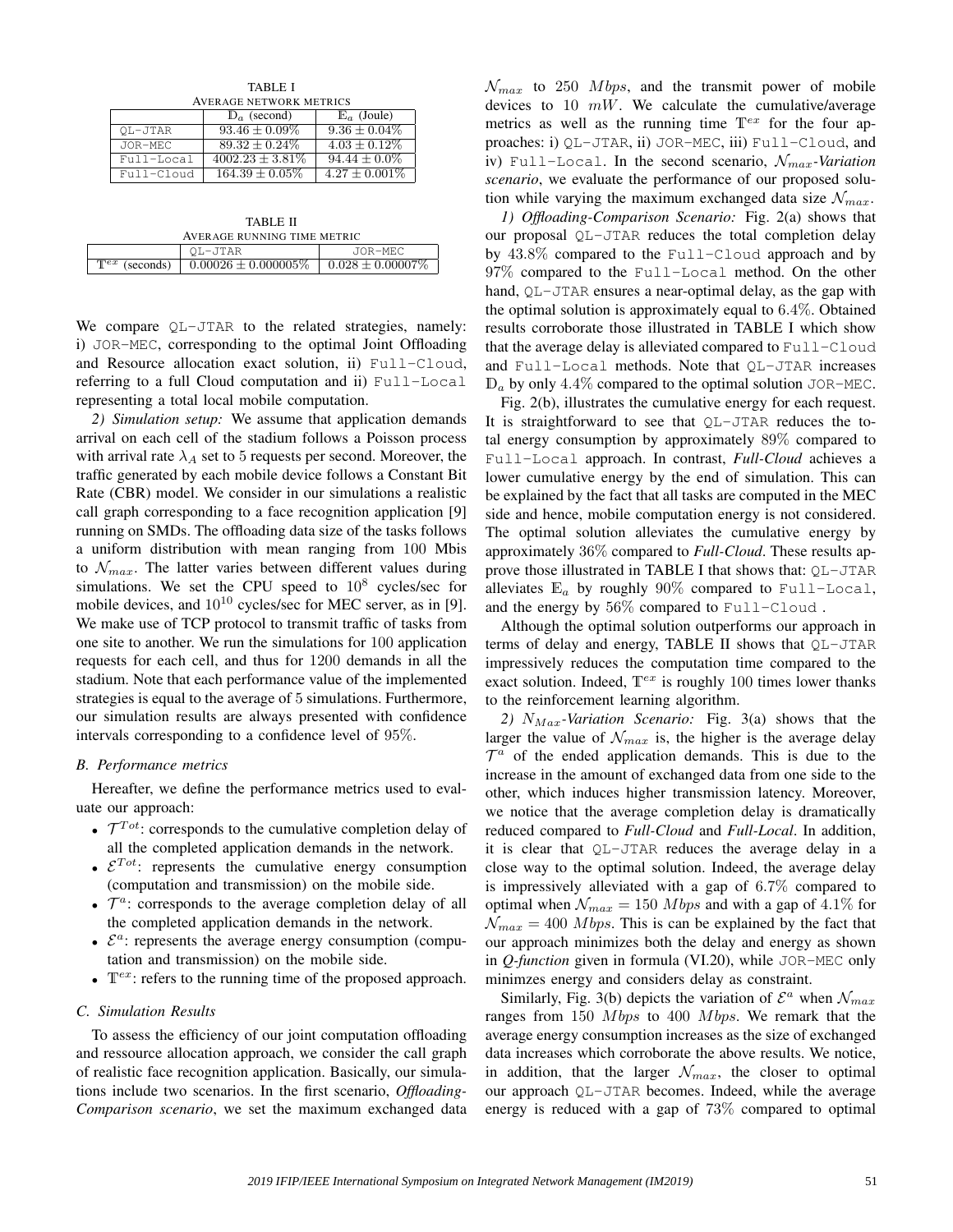TABLE I AVERAGE NETWORK METRICS

|            | $\mathbb{D}_a$ (second) | $\mathbb{E}_a$ (Joule) |
|------------|-------------------------|------------------------|
| OL-JTAR    | $93.46 \pm 0.09\%$      | $9.36 \pm 0.04\%$      |
| JOR-MEC    | $89.32 \pm 0.24\%$      | $4.03 \pm 0.12\%$      |
| Full-Local | $4002.23 \pm 3.81\%$    | $94.44 \pm 0.0\%$      |
| Full-Cloud | $164.39 \pm 0.05\%$     | $4.27 \pm 0.001\%$     |

| TABLE II<br>AVERAGE RUNNING TIME METRIC |                          |                       |
|-----------------------------------------|--------------------------|-----------------------|
|                                         | OL-JTAR                  | JOR-MEC               |
| $\mathbb{T}^{ex}$<br>(seconds)          | $0.00026 \pm 0.000005\%$ | $0.028 \pm 0.00007\%$ |

We compare QL-JTAR to the related strategies, namely: i) JOR-MEC, corresponding to the optimal Joint Offloading and Resource allocation exact solution, ii) Full-Cloud, referring to a full Cloud computation and ii) Full-Local representing a total local mobile computation.

*2) Simulation setup:* We assume that application demands arrival on each cell of the stadium follows a Poisson process with arrival rate  $\lambda_A$  set to 5 requests per second. Moreover, the traffic generated by each mobile device follows a Constant Bit Rate (CBR) model. We consider in our simulations a realistic call graph corresponding to a face recognition application [9] running on SMDs. The offloading data size of the tasks follows a uniform distribution with mean ranging from 100 Mbis to  $\mathcal{N}_{max}$ . The latter varies between different values during simulations. We set the CPU speed to  $10^8$  cycles/sec for mobile devices, and  $10^{10}$  cycles/sec for MEC server, as in [9]. We make use of TCP protocol to transmit traffic of tasks from one site to another. We run the simulations for 100 application requests for each cell, and thus for 1200 demands in all the stadium. Note that each performance value of the implemented strategies is equal to the average of 5 simulations. Furthermore, our simulation results are always presented with confidence intervals corresponding to a confidence level of 95%.

#### *B. Performance metrics*

Hereafter, we define the performance metrics used to evaluate our approach:

- $\bullet$   $\mathcal{T}^{Tot}$ : corresponds to the cumulative completion delay of all the completed application demands in the network.
- $\mathcal{E}^{Tot}$ : represents the cumulative energy consumption (computation and transmission) on the mobile side.
- $\bullet$   $\mathcal{T}^a$ : corresponds to the average completion delay of all the completed application demands in the network.
- $\epsilon$   $\varepsilon$ <sup>a</sup>: represents the average energy consumption (computation and transmission) on the mobile side.
- $T^{ex}$ : refers to the running time of the proposed approach.

# *C. Simulation Results*

To assess the efficiency of our joint computation offloading and ressource allocation approach, we consider the call graph of realistic face recognition application. Basically, our simulations include two scenarios. In the first scenario, *Offloading-Comparison scenario*, we set the maximum exchanged data  $\mathcal{N}_{max}$  to 250 Mbps, and the transmit power of mobile devices to 10  $mW$ . We calculate the cumulative/average metrics as well as the running time  $T^{ex}$  for the four approaches: i) QL-JTAR, ii) JOR-MEC, iii) Full-Cloud, and iv) Full-Local. In the second scenario,  $\mathcal{N}_{max}$ -Variation *scenario*, we evaluate the performance of our proposed solution while varying the maximum exchanged data size  $\mathcal{N}_{max}$ .

*1) Offloading-Comparison Scenario:* Fig. 2(a) shows that our proposal QL-JTAR reduces the total completion delay by 43.8% compared to the Full-Cloud approach and by 97% compared to the Full-Local method. On the other hand, QL-JTAR ensures a near-optimal delay, as the gap with the optimal solution is approximately equal to  $6.4\%$ . Obtained results corroborate those illustrated in TABLE I which show that the average delay is alleviated compared to Full-Cloud and Full-Local methods. Note that QL-JTAR increases  $\mathbb{D}_a$  by only 4.4% compared to the optimal solution JOR-MEC.

Fig. 2(b), illustrates the cumulative energy for each request. It is straightforward to see that QL-JTAR reduces the total energy consumption by approximately 89% compared to Full-Local approach. In contrast, *Full-Cloud* achieves a lower cumulative energy by the end of simulation. This can be explained by the fact that all tasks are computed in the MEC side and hence, mobile computation energy is not considered. The optimal solution alleviates the cumulative energy by approximately 36% compared to *Full-Cloud*. These results approve those illustrated in TABLE I that shows that: QL-JTAR alleviates  $\mathbb{E}_a$  by roughly 90% compared to Full-Local, and the energy by 56% compared to Full-Cloud .

Although the optimal solution outperforms our approach in terms of delay and energy, TABLE II shows that QL-JTAR impressively reduces the computation time compared to the exact solution. Indeed,  $T^{ex}$  is roughly 100 times lower thanks to the reinforcement learning algorithm.

2)  $N_{Max}$ -Variation Scenario: Fig. 3(a) shows that the larger the value of  $\mathcal{N}_{max}$  is, the higher is the average delay  $\mathcal{T}^a$  of the ended application demands. This is due to the increase in the amount of exchanged data from one side to the other, which induces higher transmission latency. Moreover, we notice that the average completion delay is dramatically reduced compared to *Full-Cloud* and *Full-Local*. In addition, it is clear that QL-JTAR reduces the average delay in a close way to the optimal solution. Indeed, the average delay is impressively alleviated with a gap of 6.7% compared to optimal when  $\mathcal{N}_{max} = 150 \, Mbps$  and with a gap of 4.1% for  $\mathcal{N}_{max} = 400$  *Mbps*. This is can be explained by the fact that our approach minimizes both the delay and energy as shown in *Q-function* given in formula (VI.20), while JOR-MEC only minimzes energy and considers delay as constraint.

Similarly, Fig. 3(b) depicts the variation of  $\mathcal{E}^a$  when  $\mathcal{N}_{max}$ ranges from  $150$  *Mbps* to  $400$  *Mbps*. We remark that the average energy consumption increases as the size of exchanged data increases which corroborate the above results. We notice, in addition, that the larger  $\mathcal{N}_{max}$ , the closer to optimal our approach QL-JTAR becomes. Indeed, while the average energy is reduced with a gap of 73% compared to optimal